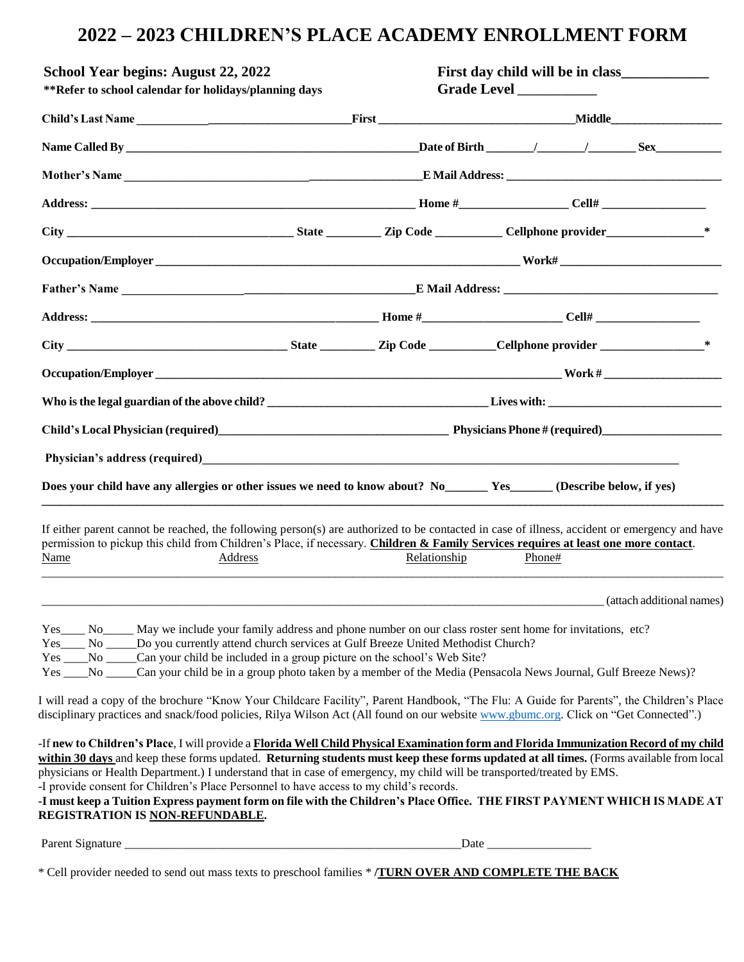## **2022 – 2023 CHILDREN'S PLACE ACADEMY ENROLLMENT FORM**

| School Year begins: August 22, 2022<br>** Refer to school calendar for holidays/planning days                                                                                                                                                                                                                 |              | Grade Level _____________                                                                                                                                                                                                                                                                                                                                                                                      |
|---------------------------------------------------------------------------------------------------------------------------------------------------------------------------------------------------------------------------------------------------------------------------------------------------------------|--------------|----------------------------------------------------------------------------------------------------------------------------------------------------------------------------------------------------------------------------------------------------------------------------------------------------------------------------------------------------------------------------------------------------------------|
|                                                                                                                                                                                                                                                                                                               |              |                                                                                                                                                                                                                                                                                                                                                                                                                |
|                                                                                                                                                                                                                                                                                                               |              |                                                                                                                                                                                                                                                                                                                                                                                                                |
|                                                                                                                                                                                                                                                                                                               |              |                                                                                                                                                                                                                                                                                                                                                                                                                |
|                                                                                                                                                                                                                                                                                                               |              |                                                                                                                                                                                                                                                                                                                                                                                                                |
|                                                                                                                                                                                                                                                                                                               |              |                                                                                                                                                                                                                                                                                                                                                                                                                |
|                                                                                                                                                                                                                                                                                                               |              |                                                                                                                                                                                                                                                                                                                                                                                                                |
|                                                                                                                                                                                                                                                                                                               |              |                                                                                                                                                                                                                                                                                                                                                                                                                |
|                                                                                                                                                                                                                                                                                                               |              |                                                                                                                                                                                                                                                                                                                                                                                                                |
|                                                                                                                                                                                                                                                                                                               |              |                                                                                                                                                                                                                                                                                                                                                                                                                |
|                                                                                                                                                                                                                                                                                                               |              |                                                                                                                                                                                                                                                                                                                                                                                                                |
|                                                                                                                                                                                                                                                                                                               |              |                                                                                                                                                                                                                                                                                                                                                                                                                |
|                                                                                                                                                                                                                                                                                                               |              |                                                                                                                                                                                                                                                                                                                                                                                                                |
| Physician's address (required)<br><u>Letter and the contract of the contract of the contract of the contract of the contract of the contract of the contract of the contract of the contract of the contract of the contract of th</u>                                                                        |              |                                                                                                                                                                                                                                                                                                                                                                                                                |
| Does your child have any allergies or other issues we need to know about? No Ves Yes (Describe below, if yes)                                                                                                                                                                                                 |              |                                                                                                                                                                                                                                                                                                                                                                                                                |
| Name<br>Address                                                                                                                                                                                                                                                                                               | Relationship | If either parent cannot be reached, the following person(s) are authorized to be contacted in case of illness, accident or emergency and have<br>permission to pickup this child from Children's Place, if necessary. Children & Family Services requires at least one more contact.<br>Phone#                                                                                                                 |
|                                                                                                                                                                                                                                                                                                               |              | (attach additional names)                                                                                                                                                                                                                                                                                                                                                                                      |
| Yes No Nay we include your family address and phone number on our class roster sent home for invitations, etc?<br>Yes____ No _____ Do you currently attend church services at Gulf Breeze United Methodist Church?<br>Yes ____No _____Can your child be included in a group picture on the school's Web Site? |              | Yes ____No _____Can your child be in a group photo taken by a member of the Media (Pensacola News Journal, Gulf Breeze News)?<br>I will read a copy of the brochure "Know Your Childcare Facility", Parent Handbook, "The Flu: A Guide for Parents", the Children's Place                                                                                                                                      |
|                                                                                                                                                                                                                                                                                                               |              | disciplinary practices and snack/food policies, Rilya Wilson Act (All found on our website www.gbumc.org. Click on "Get Connected".)                                                                                                                                                                                                                                                                           |
| physicians or Health Department.) I understand that in case of emergency, my child will be transported/treated by EMS.<br>-I provide consent for Children's Place Personnel to have access to my child's records.<br><b>REGISTRATION IS <u>NON-REFUNDABLE</u>.</b>                                            |              | -If new to Children's Place, I will provide a Florida Well Child Physical Examination form and Florida Immunization Record of my child<br>within 30 days and keep these forms updated. Returning students must keep these forms updated at all times. (Forms available from local<br>-I must keep a Tuition Express payment form on file with the Children's Place Office.  THE FIRST PAYMENT WHICH IS MADE AT |
| Parent Signature                                                                                                                                                                                                                                                                                              |              |                                                                                                                                                                                                                                                                                                                                                                                                                |

\* Cell provider needed to send out mass texts to preschool families \* **/TURN OVER AND COMPLETE THE BACK**